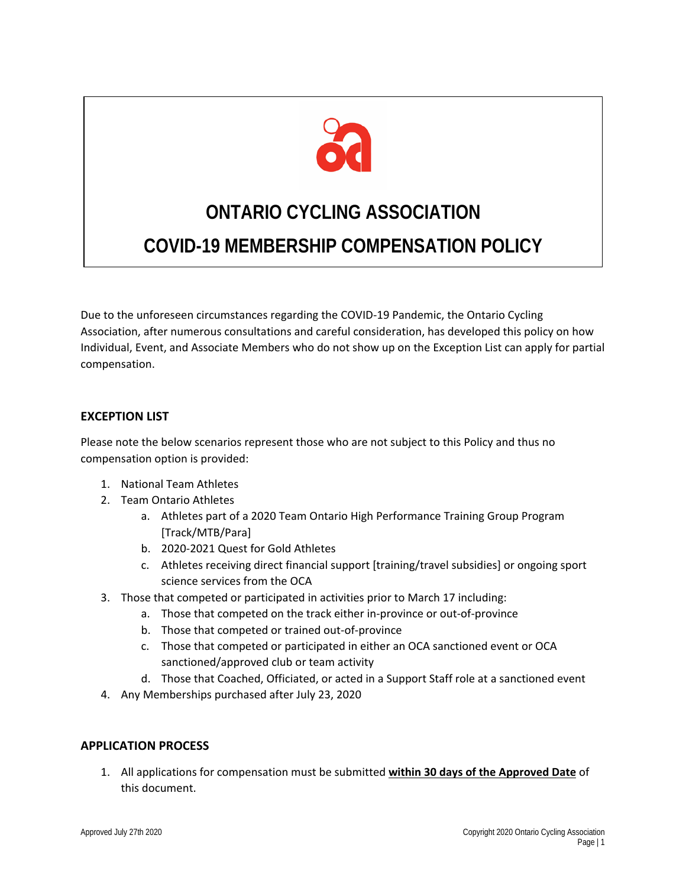

# **ONTARIO CYCLING ASSOCIATION COVID-19 MEMBERSHIP COMPENSATION POLICY**

Due to the unforeseen circumstances regarding the COVID-19 Pandemic, the Ontario Cycling Association, after numerous consultations and careful consideration, has developed this policy on how Individual, Event, and Associate Members who do not show up on the Exception List can apply for partial compensation.

# **EXCEPTION LIST**

Please note the below scenarios represent those who are not subject to this Policy and thus no compensation option is provided:

- 1. National Team Athletes
- 2. Team Ontario Athletes
	- a. Athletes part of a 2020 Team Ontario High Performance Training Group Program [Track/MTB/Para]
	- b. 2020-2021 Quest for Gold Athletes
	- c. Athletes receiving direct financial support [training/travel subsidies] or ongoing sport science services from the OCA
- 3. Those that competed or participated in activities prior to March 17 including:
	- a. Those that competed on the track either in-province or out-of-province
	- b. Those that competed or trained out-of-province
	- c. Those that competed or participated in either an OCA sanctioned event or OCA sanctioned/approved club or team activity
	- d. Those that Coached, Officiated, or acted in a Support Staff role at a sanctioned event
- 4. Any Memberships purchased after July 23, 2020

#### **APPLICATION PROCESS**

1. All applications for compensation must be submitted **within 30 days of the Approved Date** of this document.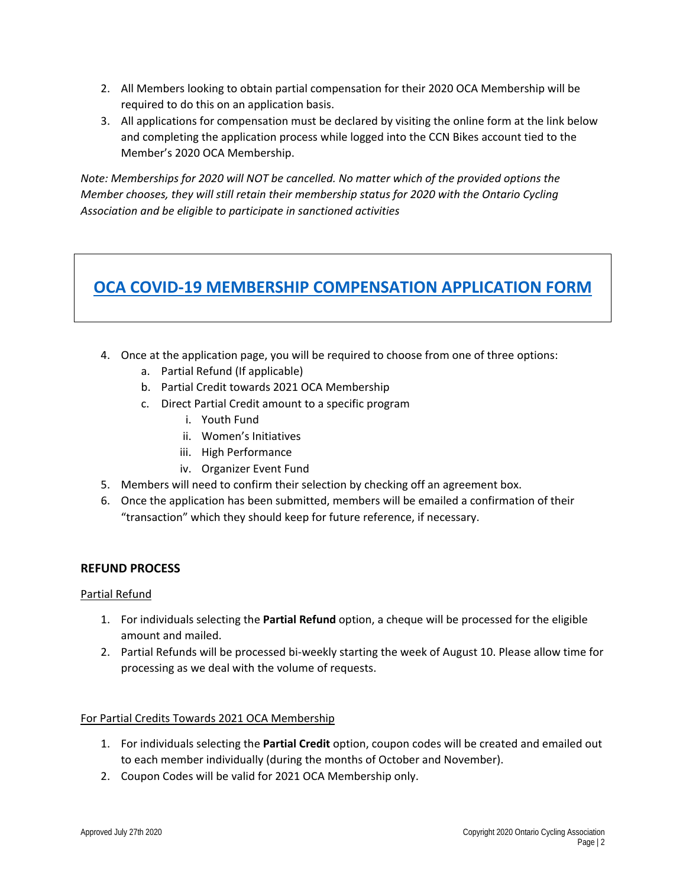- 2. All Members looking to obtain partial compensation for their 2020 OCA Membership will be required to do this on an application basis.
- 3. All applications for compensation must be declared by visiting the online form at the link below and completing the application process while logged into the CCN Bikes account tied to the Member's 2020 OCA Membership.

*Note: Memberships for 2020 will NOT be cancelled. No matter which of the provided options the Member chooses, they will still retain their membership status for 2020 with the Ontario Cycling Association and be eligible to participate in sanctioned activities*

# **[OCA COVID-19 MEMBERSHIP COMPENSATION APPLICATION FORM](https://ccnbikes.com/#!/events/ontario-cycling-association-2020-membership-compensation-application)**

- 4. Once at the application page, you will be required to choose from one of three options:
	- a. Partial Refund (If applicable)
	- b. Partial Credit towards 2021 OCA Membership
	- c. Direct Partial Credit amount to a specific program
		- i. Youth Fund
		- ii. Women's Initiatives
		- iii. High Performance
		- iv. Organizer Event Fund
- 5. Members will need to confirm their selection by checking off an agreement box.
- 6. Once the application has been submitted, members will be emailed a confirmation of their "transaction" which they should keep for future reference, if necessary.

# **REFUND PROCESS**

#### Partial Refund

- 1. For individuals selecting the **Partial Refund** option, a cheque will be processed for the eligible amount and mailed.
- 2. Partial Refunds will be processed bi-weekly starting the week of August 10. Please allow time for processing as we deal with the volume of requests.

#### For Partial Credits Towards 2021 OCA Membership

- 1. For individuals selecting the **Partial Credit** option, coupon codes will be created and emailed out to each member individually (during the months of October and November).
- 2. Coupon Codes will be valid for 2021 OCA Membership only.